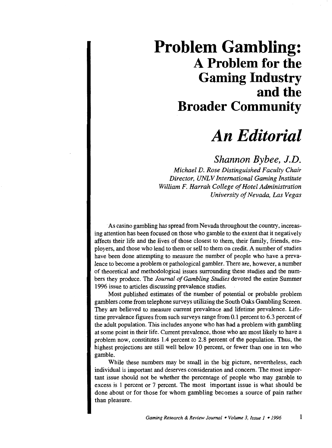## **Problem Gambling: A Problem for the Gaming Industry and the Broader Community**

## *An Editorial*

*Shannon Bybee, J.D.* 

*Michael D. Rose Distinguished Faculty Chair Director, UNLV International Gaming Institute William F. Harrah College of Hotel Administration University of Nevada, Las Vegas* 

As casino gambling has spread from Nevada throughout the country, increasing attention has been focused on those who gamble to the extent that it negatively affects their life and the lives of those closest to them, their family, friends, employers, and those who lend to them or sell to them on credit. A number of studies have been done attempting to measure the number of people who have a prevalence to become a problem or pathological gambler. There are, however, a number of theoretical and methodological issues surrounding these studies and the numbers they produce. The *Journal of Gambling Studies* devoted the entire Summer 1996 issue to articles discussing prevalence studies.

Most published estimates of the number of potential or probable problem gamblers come from telephone surveys utilizing the South Oaks Gambling Screen. They are believed to measure current prevalence and lifetime prevalence. Lifetime prevalence figures from such surveys range from 0.1 percent to 6.3 percent of the adult population. This includes anyone who has had a problem with gambling at some point in their life. Current prevalence, those who are most likely to have a problem now, constitutes 1.4 percent to 2.8 percent of the population. Thus, the highest projections are still well below 10 percent, or fewer than one in ten who gamble.

While these numbers may be small in the big picture, nevertheless, each individual is important and deserves consideration and concern. The most important issue should not be whether the percentage of people who may gamble to excess is 1 percent or 7 percent. The most important issue is what should be done about or for those for whom gambling becomes a source of pain rather than pleasure.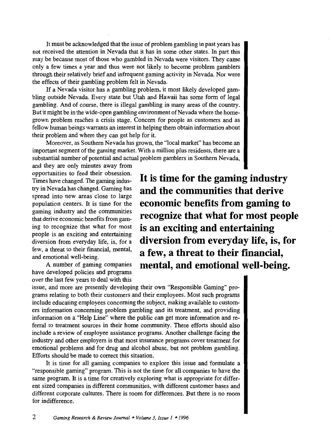It must be acknowledged that the issue of problem gambling in past years has not received the attention in Nevada that it has in some other states. In part this may be because most of those who gambled in Nevada were visitors. They came only a few times a year and thus were not likely to become problem gamblers through their relatively brief and infrequent gaming activity in Nevada. Nor were the effects of their gambling problem felt in Nevada.

If a Nevada visitor has a gambling problem, it most likely developed gambling outside Nevada. Every state but Utah and Hawaii has some form of legal gambling. And of course, there is illegal gambling in many areas of the country. But it might be in the wide-open gambling environment of Nevada where the homegrown problem reaches a crisis stage. Concern for people as customers and as fellow human beings warrants an interest in helping them obtain information about their problem and where they can get help for it.

Moreover, as Southern Nevada has grown, the "local market" has become an important segment of the gaming market. With a million plus residents, there are a substantial number of potential and actual problem gamblers in Southern Nevada,

and they are only minutes away from opportunities to feed their obsession. Times have changed. The gaming industry in Nevada has changed. Gaming has spread into new areas close to large population centers. It is time for the gaming industry and the communities that derive economic benefits from gaming to recognize that what for most people is an exciting and entertaining diversion from everyday life, is, for a few, a threat to their fmancial, mental, and emotional well-being.

A number of gaming companies have developed policies and programs over the last few years to deal with this **It is time for the gaming industry and the communities that derive economic benefits from gaming to recognize that what for most people is an exciting and entertaining diversion from everyday life, is, for a few, a threat to their financial, mental, and emotional well-being.** 

issue, and more are presently developing their own "Responsible Gaming" programs relating to both their customers and their employees. Most such programs include educating employees concerning the subject, making available to customers information concerning problem gambling and its treatment, and providing information on a "Help Line" where the public can get more information and referral to treatment sources in their home community. These efforts should also include a review of employee assistance programs. Another challenge facing the industry and other employers is that most insurance programs cover treatment for emotional problems and for drug and alcohol abuse, but not problem gambling. Efforts should be made to correct this situation.

It is time for all gaming companies to explore this issue and formulate a "responsible gaming" program. This is not the time for all companies to have the same program. It is a time for creatively exploring what is appropriate for different sized companies in different communities, with different customer bases and different corporate cultures. There is room for differences. But there is no room for indifference.